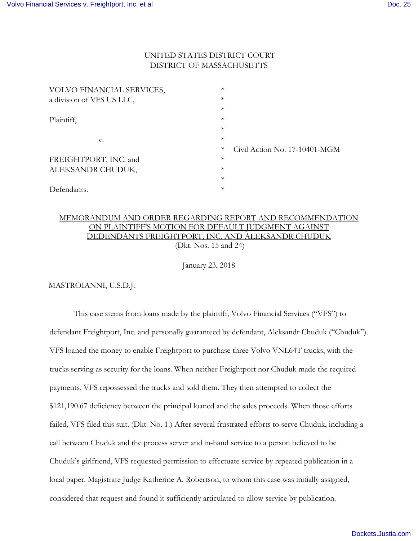## UNITED STATES DISTRICT COURT DISTRICT OF MASSACHUSETTS

| VOLVO FINANCIAL SERVICES, | $\ast$ |                               |
|---------------------------|--------|-------------------------------|
| a division of VFS US LLC, | $\ast$ |                               |
|                           | $\ast$ |                               |
| Plaintiff,                | $\ast$ |                               |
|                           | $\ast$ |                               |
| V.                        | $\ast$ |                               |
|                           | $\ast$ | Civil Action No. 17-10401-MGM |
| FREIGHTPORT, INC. and     | $\ast$ |                               |
| ALEKSANDR CHUDUK,         | $\ast$ |                               |
|                           | $\ast$ |                               |
| Defendants.               | $\ast$ |                               |

## MEMORANDUM AND ORDER REGARDING REPORT AND RECOMMENDATION ON PLAINTIFF'S MOTION FOR DEFAULT JUDGMENT AGAINST DEDENDANTS FREIGHTPORT, INC. AND ALEKSANDR CHUDUK (Dkt. Nos. 15 and 24)

January 23, 2018

MASTROIANNI, U.S.D.J.

 This case stems from loans made by the plaintiff, Volvo Financial Services ("VFS") to defendant Freightport, Inc. and personally guaranteed by defendant, Aleksandr Chuduk ("Chuduk"). VFS loaned the money to enable Freightport to purchase three Volvo VNL64T trucks, with the trucks serving as security for the loans. When neither Freightport nor Chuduk made the required payments, VFS repossessed the trucks and sold them. They then attempted to collect the \$121,190.67 deficiency between the principal loaned and the sales proceeds. When those efforts failed, VFS filed this suit. (Dkt. No. 1.) After several frustrated efforts to serve Chuduk, including a call between Chuduk and the process server and in-hand service to a person believed to be Chuduk's girlfriend, VFS requested permission to effectuate service by repeated publication in a local paper. Magistrate Judge Katherine A. Robertson, to whom this case was initially assigned, considered that request and found it sufficiently articulated to allow service by publication.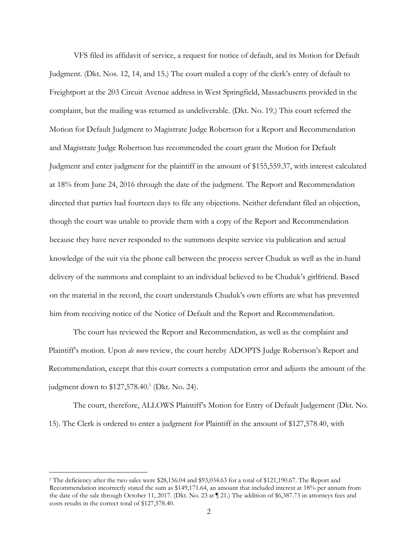VFS filed its affidavit of service, a request for notice of default, and its Motion for Default Judgment. (Dkt. Nos. 12, 14, and 15.) The court mailed a copy of the clerk's entry of default to Freightport at the 203 Circuit Avenue address in West Springfield, Massachusetts provided in the complaint, but the mailing was returned as undeliverable. (Dkt. No. 19.) This court referred the Motion for Default Judgment to Magistrate Judge Robertson for a Report and Recommendation and Magistrate Judge Robertson has recommended the court grant the Motion for Default Judgment and enter judgment for the plaintiff in the amount of \$155,559.37, with interest calculated at 18% from June 24, 2016 through the date of the judgment. The Report and Recommendation directed that parties had fourteen days to file any objections. Neither defendant filed an objection, though the court was unable to provide them with a copy of the Report and Recommendation because they have never responded to the summons despite service via publication and actual knowledge of the suit via the phone call between the process server Chuduk as well as the in-hand delivery of the summons and complaint to an individual believed to be Chuduk's girlfriend. Based on the material in the record, the court understands Chuduk's own efforts are what has prevented him from receiving notice of the Notice of Default and the Report and Recommendation.

The court has reviewed the Report and Recommendation, as well as the complaint and Plaintiff's motion. Upon *de novo* review, the court hereby ADOPTS Judge Robertson's Report and Recommendation, except that this court corrects a computation error and adjusts the amount of the judgment down to \$127,578.40.<sup>1</sup> (Dkt. No. 24).

The court, therefore, ALLOWS Plaintiff's Motion for Entry of Default Judgement (Dkt. No. 15). The Clerk is ordered to enter a judgment for Plaintiff in the amount of \$127,578.40, with

-

<sup>&</sup>lt;sup>1</sup> The deficiency after the two sales were \$28,156.04 and \$93,034.63 for a total of \$121,190.67. The Report and Recommendation incorrectly stated the sum as \$149,171.64, an amount that included interest at 18% per annum from the date of the sale through October 11, 2017. (Dkt. No. 23 at ¶ 21.) The addition of \$6,387.73 in attorneys fees and costs results in the correct total of \$127,578.40.